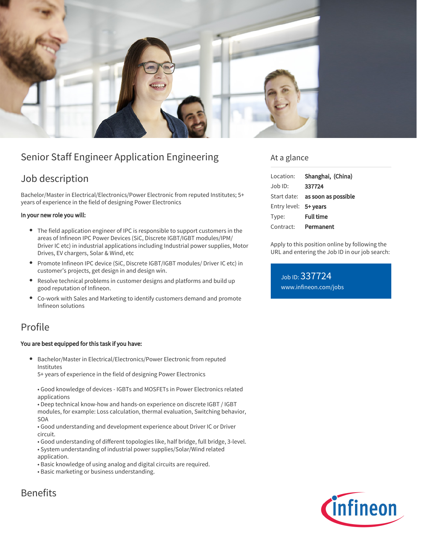

# Senior Staff Engineer Application Engineering

# Job description

Bachelor/Master in Electrical/Electronics/Power Electronic from reputed Institutes; 5+ years of experience in the field of designing Power Electronics

#### In your new role you will:

- The field application engineer of IPC is responsible to support customers in the areas of Infineon IPC Power Devices (SiC, Discrete IGBT/IGBT modules/IPM/ Driver IC etc) in industrial applications including Industrial power supplies, Motor Drives, EV chargers, Solar & Wind, etc
- Promote Infineon IPC device (SiC, Discrete IGBT/IGBT modules/ Driver IC etc) in customer's projects, get design in and design win.
- Resolve technical problems in customer designs and platforms and build up good reputation of Infineon.
- Co-work with Sales and Marketing to identify customers demand and promote Infineon solutions

## Profile

#### You are best equipped for this task if you have:

Bachelor/Master in Electrical/Electronics/Power Electronic from reputed Institutes

5+ years of experience in the field of designing Power Electronics

• Good knowledge of devices - IGBTs and MOSFETs in Power Electronics related applications

• Deep technical know-how and hands-on experience on discrete IGBT / IGBT modules, for example: Loss calculation, thermal evaluation, Switching behavior, SOA

• Good understanding and development experience about Driver IC or Driver circuit.

- Good understanding of different topologies like, half bridge, full bridge, 3-level.
- System understanding of industrial power supplies/Solar/Wind related
- application.
- Basic knowledge of using analog and digital circuits are required.
- Basic marketing or business understanding.

### At a glance

| Location:             | Shanghai, (China)                      |
|-----------------------|----------------------------------------|
| Job ID:               | 337724                                 |
|                       | Start date: <b>as soon as possible</b> |
| Entry level: 5+ years |                                        |
| Type:                 | <b>Full time</b>                       |
| Contract:             | Permanent                              |

Apply to this position online by following the URL and entering the Job ID in our job search:

Job ID: 337724 [www.infineon.com/jobs](https://www.infineon.com/jobs)



## Benefits